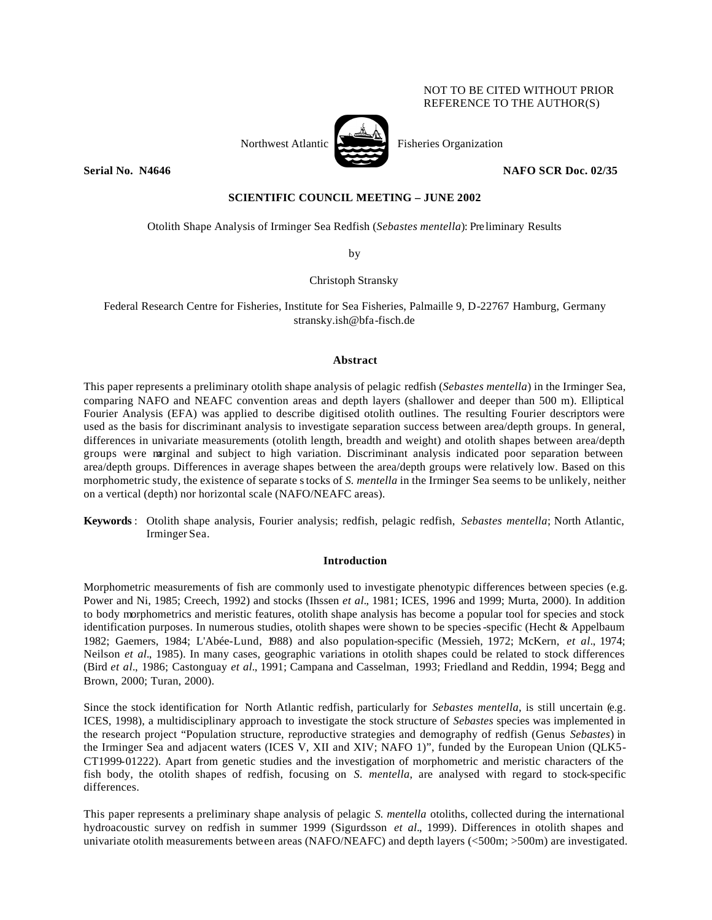## NOT TO BE CITED WITHOUT PRIOR REFERENCE TO THE AUTHOR(S)

Northwest Atlantic Fisheries Organization

### **Serial No. N4646 NAFO SCR Doc. 02/35**

# **SCIENTIFIC COUNCIL MEETING – JUNE 2002**

Otolith Shape Analysis of Irminger Sea Redfish (*Sebastes mentella*): Pre liminary Results

by

## Christoph Stransky

Federal Research Centre for Fisheries, Institute for Sea Fisheries, Palmaille 9, D-22767 Hamburg, Germany stransky.ish@bfa-fisch.de

### **Abstract**

This paper represents a preliminary otolith shape analysis of pelagic redfish (*Sebastes mentella*) in the Irminger Sea, comparing NAFO and NEAFC convention areas and depth layers (shallower and deeper than 500 m). Elliptical Fourier Analysis (EFA) was applied to describe digitised otolith outlines. The resulting Fourier descriptors were used as the basis for discriminant analysis to investigate separation success between area/depth groups. In general, differences in univariate measurements (otolith length, breadth and weight) and otolith shapes between area/depth groups were marginal and subject to high variation. Discriminant analysis indicated poor separation between area/depth groups. Differences in average shapes between the area/depth groups were relatively low. Based on this morphometric study, the existence of separate stocks of *S. mentella* in the Irminger Sea seems to be unlikely, neither on a vertical (depth) nor horizontal scale (NAFO/NEAFC areas).

**Keywords** : Otolith shape analysis, Fourier analysis; redfish, pelagic redfish, *Sebastes mentella*; North Atlantic, Irminger Sea.

### **Introduction**

Morphometric measurements of fish are commonly used to investigate phenotypic differences between species (e.g. Power and Ni, 1985; Creech, 1992) and stocks (Ihssen *et al.*, 1981; ICES, 1996 and 1999; Murta, 2000). In addition to body morphometrics and meristic features, otolith shape analysis has become a popular tool for species and stock identification purposes. In numerous studies, otolith shapes were shown to be species-specific (Hecht & Appelbaum 1982; Gaemers, 1984; L'Abée-Lund, 1988) and also population-specific (Messieh, 1972; McKern, *et al.*, 1974; Neilson *et al.*, 1985). In many cases, geographic variations in otolith shapes could be related to stock differences (Bird *et al.*, 1986; Castonguay *et al.*, 1991; Campana and Casselman, 1993; Friedland and Reddin, 1994; Begg and Brown, 2000; Turan, 2000).

Since the stock identification for North Atlantic redfish, particularly for *Sebastes mentella*, is still uncertain (e.g*.* ICES, 1998), a multidisciplinary approach to investigate the stock structure of *Sebastes* species was implemented in the research project "Population structure, reproductive strategies and demography of redfish (Genus *Sebastes*) in the Irminger Sea and adjacent waters (ICES V, XII and XIV; NAFO 1)", funded by the European Union (QLK5- CT1999-01222). Apart from genetic studies and the investigation of morphometric and meristic characters of the fish body, the otolith shapes of redfish, focusing on *S. mentella*, are analysed with regard to stock-specific differences.

This paper represents a preliminary shape analysis of pelagic *S. mentella* otoliths, collected during the international hydroacoustic survey on redfish in summer 1999 (Sigurdsson *et al.*, 1999). Differences in otolith shapes and univariate otolith measurements between areas (NAFO/NEAFC) and depth layers (<500m; >500m) are investigated.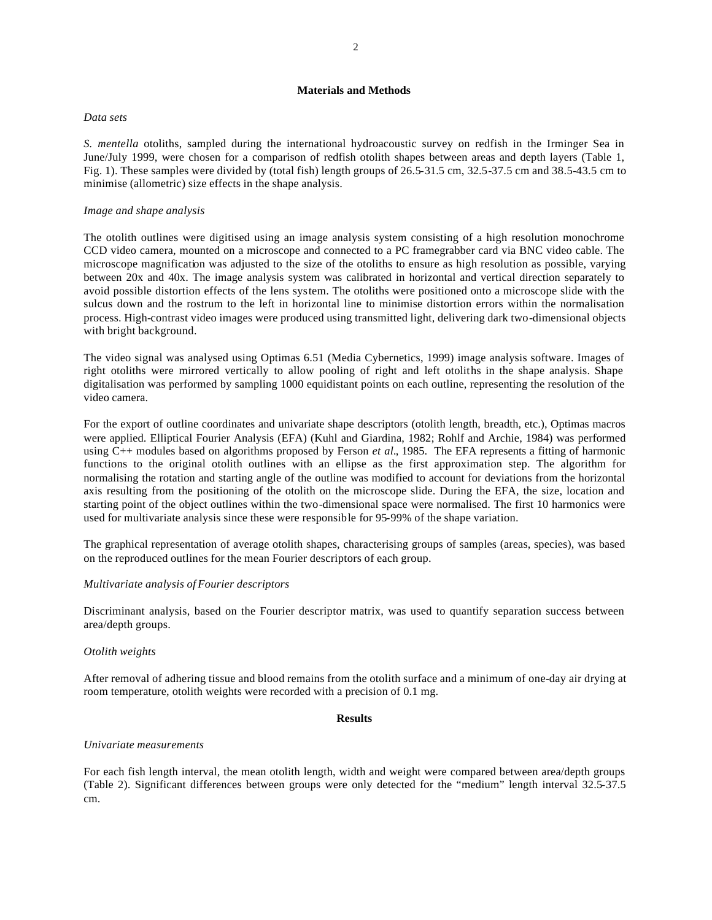## **Materials and Methods**

### *Data sets*

*S. mentella* otoliths, sampled during the international hydroacoustic survey on redfish in the Irminger Sea in June/July 1999, were chosen for a comparison of redfish otolith shapes between areas and depth layers (Table 1, Fig. 1). These samples were divided by (total fish) length groups of 26.5-31.5 cm, 32.5-37.5 cm and 38.5-43.5 cm to minimise (allometric) size effects in the shape analysis.

### *Image and shape analysis*

The otolith outlines were digitised using an image analysis system consisting of a high resolution monochrome CCD video camera, mounted on a microscope and connected to a PC framegrabber card via BNC video cable. The microscope magnification was adjusted to the size of the otoliths to ensure as high resolution as possible, varying between 20x and 40x. The image analysis system was calibrated in horizontal and vertical direction separately to avoid possible distortion effects of the lens system. The otoliths were positioned onto a microscope slide with the sulcus down and the rostrum to the left in horizontal line to minimise distortion errors within the normalisation process. High-contrast video images were produced using transmitted light, delivering dark two-dimensional objects with bright background.

The video signal was analysed using Optimas 6.51 (Media Cybernetics, 1999) image analysis software. Images of right otoliths were mirrored vertically to allow pooling of right and left otoliths in the shape analysis. Shape digitalisation was performed by sampling 1000 equidistant points on each outline, representing the resolution of the video camera.

For the export of outline coordinates and univariate shape descriptors (otolith length, breadth, etc.), Optimas macros were applied. Elliptical Fourier Analysis (EFA) (Kuhl and Giardina, 1982; Rohlf and Archie, 1984) was performed using C++ modules based on algorithms proposed by Ferson *et al.*, 1985. The EFA represents a fitting of harmonic functions to the original otolith outlines with an ellipse as the first approximation step. The algorithm for normalising the rotation and starting angle of the outline was modified to account for deviations from the horizontal axis resulting from the positioning of the otolith on the microscope slide. During the EFA, the size, location and starting point of the object outlines within the two-dimensional space were normalised. The first 10 harmonics were used for multivariate analysis since these were responsible for 95-99% of the shape variation.

The graphical representation of average otolith shapes, characterising groups of samples (areas, species), was based on the reproduced outlines for the mean Fourier descriptors of each group.

### *Multivariate analysis of Fourier descriptors*

Discriminant analysis, based on the Fourier descriptor matrix, was used to quantify separation success between area/depth groups.

### *Otolith weights*

After removal of adhering tissue and blood remains from the otolith surface and a minimum of one-day air drying at room temperature, otolith weights were recorded with a precision of 0.1 mg.

### **Results**

### *Univariate measurements*

For each fish length interval, the mean otolith length, width and weight were compared between area/depth groups (Table 2). Significant differences between groups were only detected for the "medium" length interval 32.5-37.5 cm.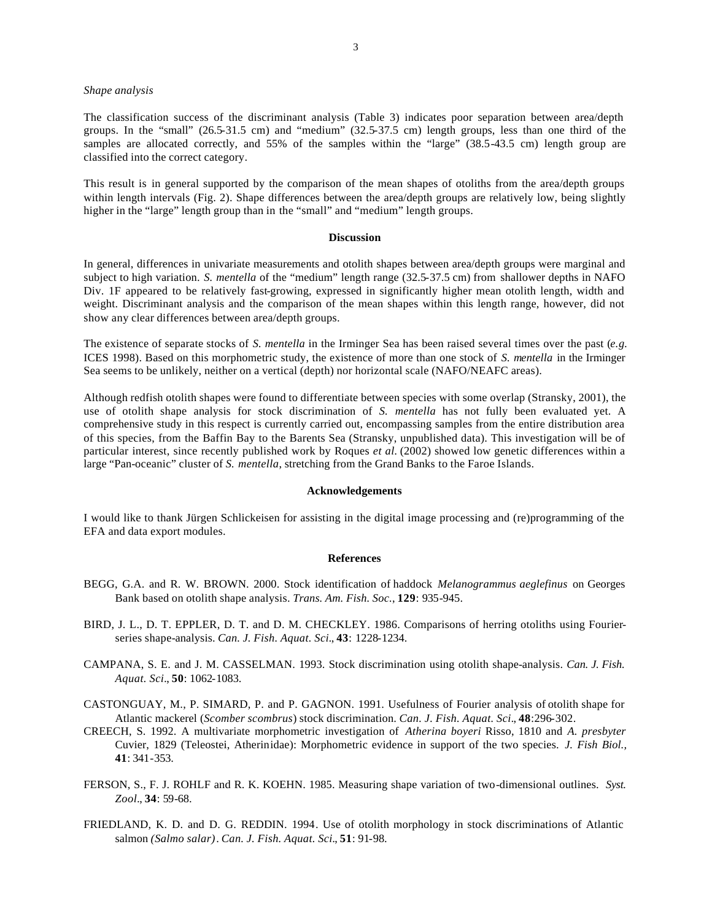### *Shape analysis*

The classification success of the discriminant analysis (Table 3) indicates poor separation between area/depth groups. In the "small" (26.5-31.5 cm) and "medium" (32.5-37.5 cm) length groups, less than one third of the samples are allocated correctly, and 55% of the samples within the "large" (38.5-43.5 cm) length group are classified into the correct category.

This result is in general supported by the comparison of the mean shapes of otoliths from the area/depth groups within length intervals (Fig. 2). Shape differences between the area/depth groups are relatively low, being slightly higher in the "large" length group than in the "small" and "medium" length groups.

#### **Discussion**

In general, differences in univariate measurements and otolith shapes between area/depth groups were marginal and subject to high variation. *S. mentella* of the "medium" length range (32.5-37.5 cm) from shallower depths in NAFO Div. 1F appeared to be relatively fast-growing, expressed in significantly higher mean otolith length, width and weight. Discriminant analysis and the comparison of the mean shapes within this length range, however, did not show any clear differences between area/depth groups.

The existence of separate stocks of *S. mentella* in the Irminger Sea has been raised several times over the past (*e.g.* ICES 1998). Based on this morphometric study, the existence of more than one stock of *S. mentella* in the Irminger Sea seems to be unlikely, neither on a vertical (depth) nor horizontal scale (NAFO/NEAFC areas).

Although redfish otolith shapes were found to differentiate between species with some overlap (Stransky, 2001), the use of otolith shape analysis for stock discrimination of *S. mentella* has not fully been evaluated yet. A comprehensive study in this respect is currently carried out, encompassing samples from the entire distribution area of this species, from the Baffin Bay to the Barents Sea (Stransky, unpublished data). This investigation will be of particular interest, since recently published work by Roques *et al.* (2002) showed low genetic differences within a large "Pan-oceanic" cluster of *S. mentella*, stretching from the Grand Banks to the Faroe Islands.

### **Acknowledgements**

I would like to thank Jürgen Schlickeisen for assisting in the digital image processing and (re)programming of the EFA and data export modules.

#### **References**

- BEGG, G.A. and R. W. BROWN. 2000. Stock identification of haddock *Melanogrammus aeglefinus* on Georges Bank based on otolith shape analysis. *Trans. Am. Fish. Soc.*, **129**: 935-945.
- BIRD, J. L., D. T. EPPLER, D. T. and D. M. CHECKLEY. 1986. Comparisons of herring otoliths using Fourierseries shape-analysis. *Can. J. Fish. Aquat. Sci.*, **43**: 1228-1234.
- CAMPANA, S. E. and J. M. CASSELMAN. 1993. Stock discrimination using otolith shape-analysis. *Can. J. Fish. Aquat. Sci.*, **50**: 1062-1083.
- CASTONGUAY, M., P. SIMARD, P. and P. GAGNON. 1991. Usefulness of Fourier analysis of otolith shape for Atlantic mackerel (*Scomber scombrus*) stock discrimination. *Can. J. Fish. Aquat. Sci.*, **48**:296-302.
- CREECH, S. 1992. A multivariate morphometric investigation of *Atherina boyeri* Risso, 1810 and *A. presbyter* Cuvier, 1829 (Teleostei, Atherinidae): Morphometric evidence in support of the two species. *J. Fish Biol.,* **41**: 341-353.
- FERSON, S., F. J. ROHLF and R. K. KOEHN. 1985. Measuring shape variation of two-dimensional outlines. *Syst. Zool.*, **34**: 59-68.
- FRIEDLAND, K. D. and D. G. REDDIN. 1994. Use of otolith morphology in stock discriminations of Atlantic salmon *(Salmo salar)*. *Can. J. Fish. Aquat. Sci.*, **51**: 91-98.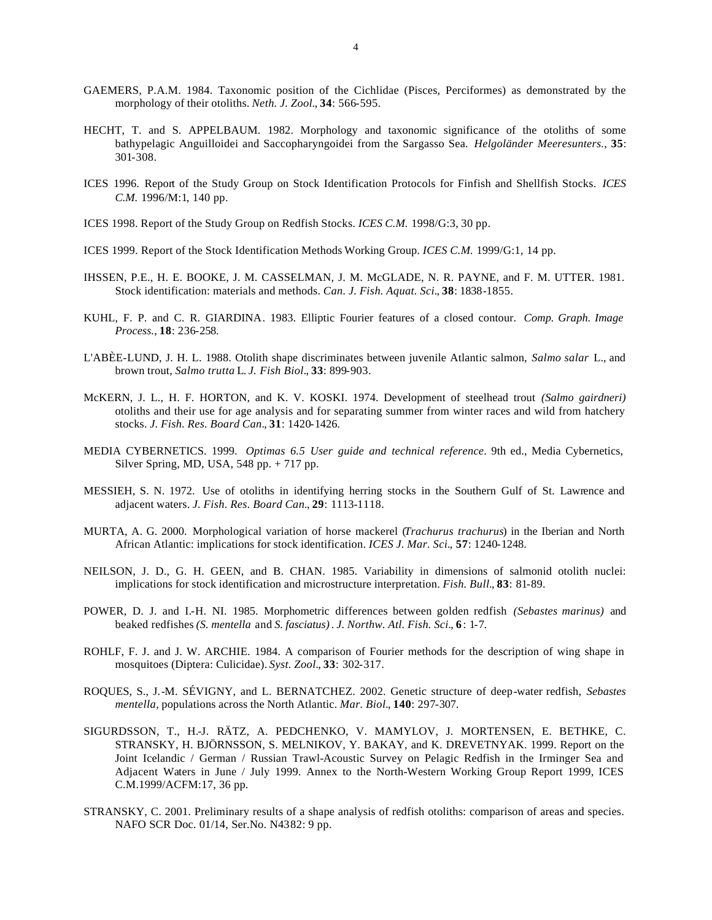- GAEMERS, P.A.M. 1984. Taxonomic position of the Cichlidae (Pisces, Perciformes) as demonstrated by the morphology of their otoliths. *Neth. J. Zool.*, **34**: 566-595.
- HECHT, T. and S. APPELBAUM. 1982. Morphology and taxonomic significance of the otoliths of some bathypelagic Anguilloidei and Saccopharyngoidei from the Sargasso Sea. *Helgoländer Meeresunters.*, **35**: 301-308.
- ICES 1996. Report of the Study Group on Stock Identification Protocols for Finfish and Shellfish Stocks. *ICES C.M.* 1996/M:1, 140 pp.
- ICES 1998. Report of the Study Group on Redfish Stocks. *ICES C.M.* 1998/G:3, 30 pp.
- ICES 1999. Report of the Stock Identification Methods Working Group. *ICES C.M.* 1999/G:1, 14 pp.
- IHSSEN, P.E., H. E. BOOKE, J. M. CASSELMAN, J. M. McGLADE, N. R. PAYNE, and F. M. UTTER. 1981. Stock identification: materials and methods. *Can. J. Fish. Aquat. Sci.*, **38**: 1838-1855.
- KUHL, F. P. and C. R. GIARDINA. 1983. Elliptic Fourier features of a closed contour. *Comp. Graph. Image Process.*, **18**: 236-258.
- L'ABÈE-LUND, J. H. L. 1988. Otolith shape discriminates between juvenile Atlantic salmon, *Salmo salar* L., and brown trout, *Salmo trutta* L. *J. Fish Biol.*, **33**: 899-903.
- McKERN, J. L., H. F. HORTON, and K. V. KOSKI. 1974. Development of steelhead trout *(Salmo gairdneri)* otoliths and their use for age analysis and for separating summer from winter races and wild from hatchery stocks. *J. Fish. Res. Board Can.*, **31**: 1420-1426.
- MEDIA CYBERNETICS. 1999. *Optimas 6.5 User guide and technical reference*. 9th ed., Media Cybernetics, Silver Spring, MD, USA, 548 pp. + 717 pp.
- MESSIEH, S. N. 1972. Use of otoliths in identifying herring stocks in the Southern Gulf of St. Lawrence and adjacent waters. *J. Fish. Res. Board Can.*, **29**: 1113-1118.
- MURTA, A. G. 2000. Morphological variation of horse mackerel (*Trachurus trachurus*) in the Iberian and North African Atlantic: implications for stock identification. *ICES J. Mar. Sci.*, **57**: 1240-1248.
- NEILSON, J. D., G. H. GEEN, and B. CHAN. 1985. Variability in dimensions of salmonid otolith nuclei: implications for stock identification and microstructure interpretation. *Fish. Bull.*, **83**: 81-89.
- POWER, D. J. and I.-H. NI. 1985. Morphometric differences between golden redfish *(Sebastes marinus)* and beaked redfishes *(S. mentella* and *S. fasciatus)*. *J. Northw. Atl. Fish. Sci.*, **6**: 1-7.
- ROHLF, F. J. and J. W. ARCHIE. 1984. A comparison of Fourier methods for the description of wing shape in mosquitoes (Diptera: Culicidae). *Syst. Zool.*, **33**: 302-317.
- ROQUES, S., J.-M. SÉVIGNY, and L. BERNATCHEZ. 2002. Genetic structure of deep-water redfish, *Sebastes mentella*, populations across the North Atlantic. *Mar. Biol.*, **140**: 297-307.
- SIGURDSSON, T., H.-J. RÄTZ, A. PEDCHENKO, V. MAMYLOV, J. MORTENSEN, E. BETHKE, C. STRANSKY, H. BJÖRNSSON, S. MELNIKOV, Y. BAKAY, and K. DREVETNYAK. 1999. Report on the Joint Icelandic / German / Russian Trawl-Acoustic Survey on Pelagic Redfish in the Irminger Sea and Adjacent Waters in June / July 1999. Annex to the North-Western Working Group Report 1999, ICES C.M.1999/ACFM:17, 36 pp.
- STRANSKY, C. 2001. Preliminary results of a shape analysis of redfish otoliths: comparison of areas and species. NAFO SCR Doc. 01/14, Ser.No. N4382: 9 pp.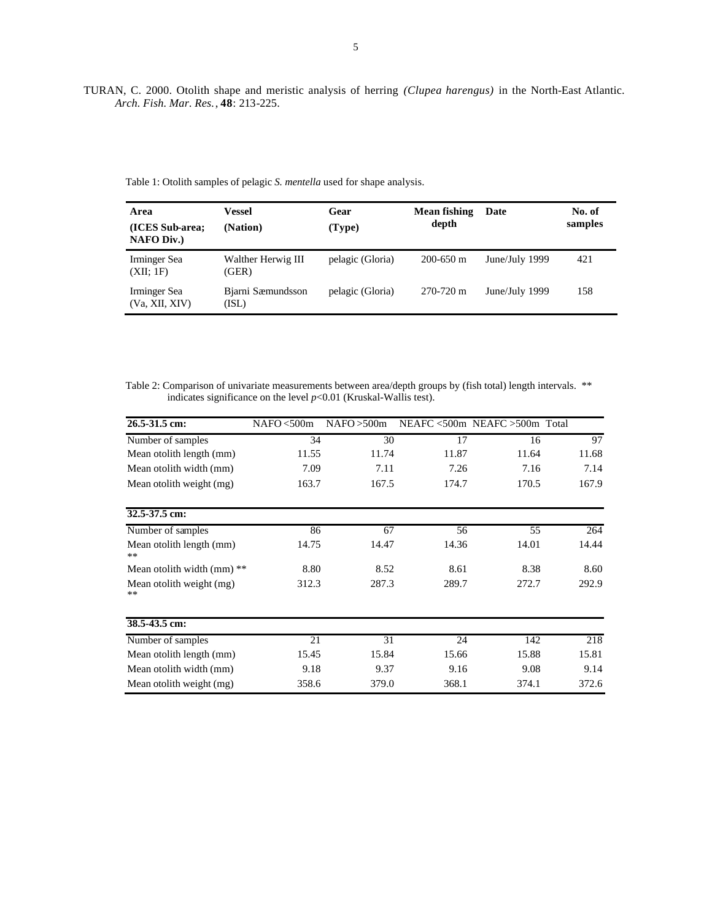TURAN, C. 2000. Otolith shape and meristic analysis of herring *(Clupea harengus)* in the North-East Atlantic. *Arch. Fish. Mar. Res.*, **48**: 213-225.

Table 1: Otolith samples of pelagic *S. mentella* used for shape analysis.

| Area<br>(ICES Sub-area;<br><b>NAFO Div.)</b> | Vessel<br>(Nation)          | Gear<br>(Type)   | Mean fishing<br>depth | Date           | No. of<br>samples |
|----------------------------------------------|-----------------------------|------------------|-----------------------|----------------|-------------------|
| Irminger Sea<br>(XII; 1F)                    | Walther Herwig III<br>(GER) | pelagic (Gloria) | $200 - 650$ m         | June/July 1999 | 421               |
| Irminger Sea<br>(Va, XII, XIV)               | Bjarni Sæmundsson<br>(ISL)  | pelagic (Gloria) | $270 - 720$ m         | June/July 1999 | 158               |

Table 2: Comparison of univariate measurements between area/depth groups by (fish total) length intervals. \*\* indicates significance on the level  $p<0.01$  (Kruskal-Wallis test).

| 26.5-31.5 cm:                          | NAFO < 500m | NAFO > 500m |       | $NEAFC \leq 500m$ NEAFC $>500m$ Total |       |
|----------------------------------------|-------------|-------------|-------|---------------------------------------|-------|
| Number of samples                      | 34          | 30          | 17    | 16                                    | 97    |
| Mean otolith length (mm)               | 11.55       | 11.74       | 11.87 | 11.64                                 | 11.68 |
| Mean otolith width (mm)                | 7.09        | 7.11        | 7.26  | 7.16                                  | 7.14  |
| Mean otolith weight (mg)               | 163.7       | 167.5       | 174.7 | 170.5                                 | 167.9 |
| 32.5-37.5 cm:                          |             |             |       |                                       |       |
| Number of samples                      | 86          | 67          | 56    | 55                                    | 264   |
| Mean otolith length (mm)<br>$\ast\ast$ | 14.75       | 14.47       | 14.36 | 14.01                                 | 14.44 |
| Mean otolith width $(mm)$ **           | 8.80        | 8.52        | 8.61  | 8.38                                  | 8.60  |
| Mean otolith weight (mg)<br>$**$       | 312.3       | 287.3       | 289.7 | 272.7                                 | 292.9 |
| 38.5-43.5 cm:                          |             |             |       |                                       |       |
| Number of samples                      | 21          | 31          | 24    | 142                                   | 218   |
| Mean otolith length (mm)               | 15.45       | 15.84       | 15.66 | 15.88                                 | 15.81 |
| Mean otolith width (mm)                | 9.18        | 9.37        | 9.16  | 9.08                                  | 9.14  |
| Mean otolith weight (mg)               | 358.6       | 379.0       | 368.1 | 374.1                                 | 372.6 |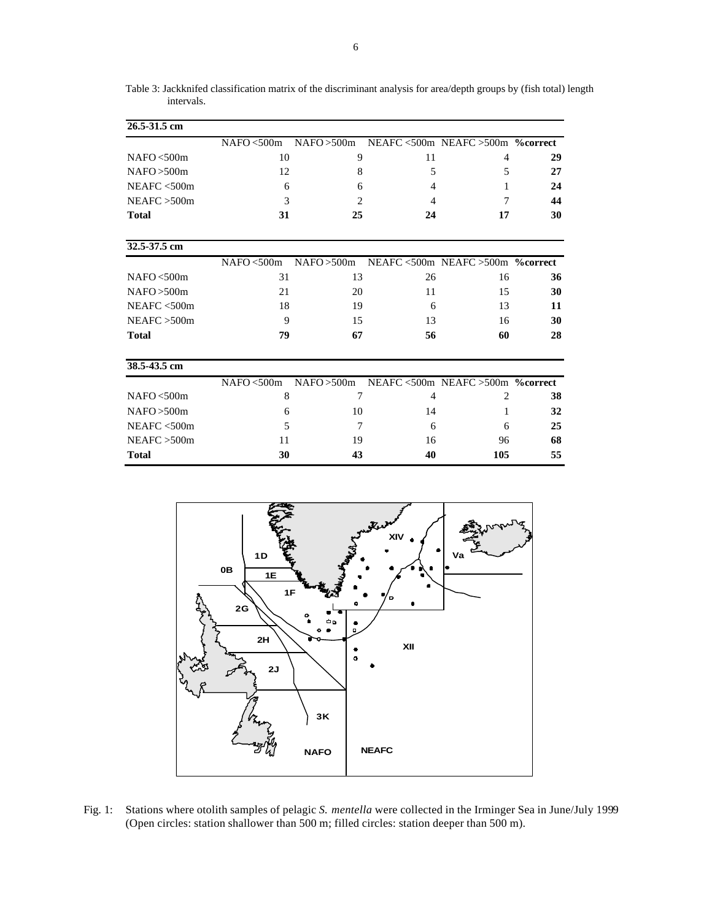Table 3: Jackknifed classification matrix of the discriminant analysis for area/depth groups by (fish total) length intervals.

| 26.5-31.5 cm |             |                |    |                                                   |    |
|--------------|-------------|----------------|----|---------------------------------------------------|----|
|              | NAFO < 500m |                |    | $NAFO > 500m$ NEAFC < 500m NEAFC > 500m % correct |    |
| NAFO < 500m  | 10          | 9              | 11 | $\overline{4}$                                    | 29 |
| NAFO > 500m  | 12          | 8              | 5  | 5                                                 | 27 |
| NEAFC < 500m | 6           | 6              | 4  | 1                                                 | 24 |
| NEAFC > 500m | 3           | $\overline{c}$ | 4  | 7                                                 | 44 |
| <b>Total</b> | 31          | 25             | 24 | 17                                                | 30 |
| 32.5-37.5 cm |             |                |    |                                                   |    |
|              | NAFO < 500m |                |    | NAFO > 500m NEAFC < 500m NEAFC > 500m % correct   |    |
| NAFO < 500m  | 31          | 13             | 26 | 16                                                | 36 |
| NAFO > 500m  | 21          | 20             | 11 | 15                                                | 30 |
| NEAFC < 500m | 18          | 19             | 6  | 13                                                | 11 |
| NEAFC > 500m | 9           | 15             | 13 | 16                                                | 30 |
| <b>Total</b> | 79          | 67             | 56 | 60                                                | 28 |
| 38.5-43.5 cm |             |                |    |                                                   |    |
|              | NAFO < 500m | NAFO > 500m    |    | NEAFC <500m NEAFC >500m % correct                 |    |
| NAFO < 500m  | 8           | 7              | 4  | $\overline{2}$                                    | 38 |
| NAFO > 500m  | 6           | 10             | 14 | 1                                                 | 32 |
| NEAFC < 500m | 5           | 7              | 6  | 6                                                 | 25 |
| NEAFC > 500m | 11          | 19             | 16 | 96                                                | 68 |
| <b>Total</b> | 30          | 43             | 40 | 105                                               | 55 |



Fig. 1: Stations where otolith samples of pelagic *S. mentella* were collected in the Irminger Sea in June/July 1999 (Open circles: station shallower than 500 m; filled circles: station deeper than 500 m).